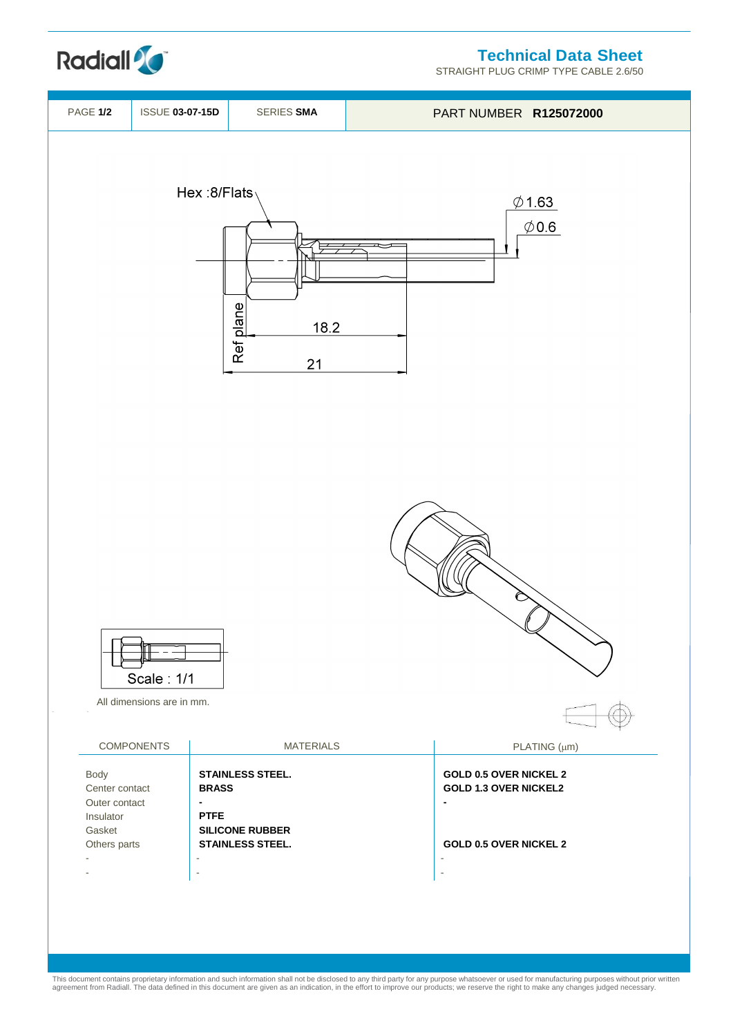**Technical Data Sheet**

STRAIGHT PLUG CRIMP TYPE CABLE 2.6/50



**Radiall<sup>2</sup>C** 

This document contains proprietary information and such information shall not be disclosed to any third party for any purpose whatsoever or used for manufacturing purposes without prior written<br>agreement from Radiall. The